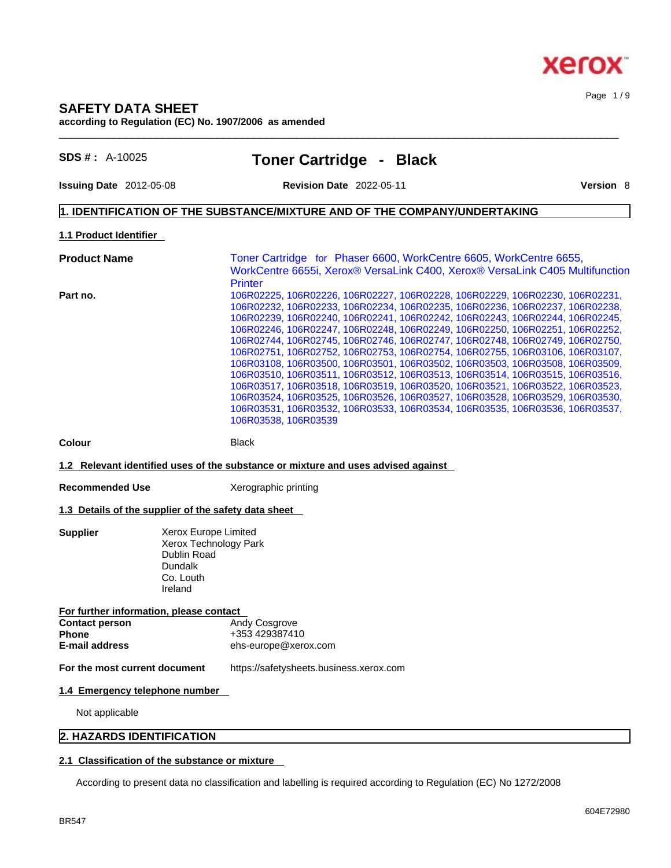#### Page 1 / 9

#### **SAFETY DATA SHEET according to Regulation (EC) No. 1907/2006 as amended**  $\_$  ,  $\_$  ,  $\_$  ,  $\_$  ,  $\_$  ,  $\_$  ,  $\_$  ,  $\_$  ,  $\_$  ,  $\_$  ,  $\_$  ,  $\_$  ,  $\_$  ,  $\_$  ,  $\_$  ,  $\_$  ,  $\_$  ,  $\_$  ,  $\_$  ,  $\_$  ,  $\_$  ,  $\_$  ,  $\_$  ,  $\_$  ,  $\_$  ,  $\_$  ,  $\_$  ,  $\_$  ,  $\_$  ,  $\_$  ,  $\_$  ,  $\_$  ,  $\_$  ,  $\_$  ,  $\_$  ,  $\_$  ,  $\_$  ,

**SDS # :** A-10025 **Toner Cartridge - Black**

**Issuing Date** 2012-05-08 **Revision Date** 2022-05-11 **Version** 8

#### **1. IDENTIFICATION OF THE SUBSTANCE/MIXTURE AND OF THE COMPANY/UNDERTAKING**

#### **1.1 Product Identifier**

**Product Name Toner Cartridge for Phaser 6600, WorkCentre 6605, WorkCentre 6655,** WorkCentre 6655i, Xerox® VersaLink C400, Xerox® VersaLink C405 Multifunction **Printer Part no.** 106R02225, 106R02226, 106R02227, 106R02228, 106R02229, 106R02230, 106R02231, 106R02232, 106R02233, 106R02234, 106R02235, 106R02236, 106R02237, 106R02238, 106R02239, 106R02240, 106R02241, 106R02242, 106R02243, 106R02244, 106R02245, 106R02246, 106R02247, 106R02248, 106R02249, 106R02250, 106R02251, 106R02252, 106R02744, 106R02745, 106R02746, 106R02747, 106R02748, 106R02749, 106R02750, 106R02751, 106R02752, 106R02753, 106R02754, 106R02755, 106R03106, 106R03107, 106R03108, 106R03500, 106R03501, 106R03502, 106R03503, 106R03508, 106R03509, 106R03510, 106R03511, 106R03512, 106R03513, 106R03514, 106R03515, 106R03516, 106R03517, 106R03518, 106R03519, 106R03520, 106R03521, 106R03522, 106R03523, 106R03524, 106R03525, 106R03526, 106R03527, 106R03528, 106R03529, 106R03530, 106R03531, 106R03532, 106R03533, 106R03534, 106R03535, 106R03536, 106R03537, 106R03538, 106R03539

**Colour Black** 

#### **1.2 Relevant identified uses of the substance or mixture and uses advised against**

**Recommended Use** Xerographic printing

#### **1.3 Details of the supplier of the safety data sheet**

**Supplier** Xerox Europe Limited Xerox Technology Park Dublin Road Dundalk Co. Louth Ireland

| <b>Contact person</b> | <b>Andy Cosgrove</b> |
|-----------------------|----------------------|
| Phone                 | +353 429387410       |
| E-mail address        | ehs-europe@xerox.com |

**For the most current document** https://safetysheets.business.xerox.com

#### **1.4 Emergency telephone number**

Not applicable

#### **2. HAZARDS IDENTIFICATION**

#### **2.1 Classification of the substance or mixture**

According to present data no classification and labelling is required according to Regulation (EC) No 1272/2008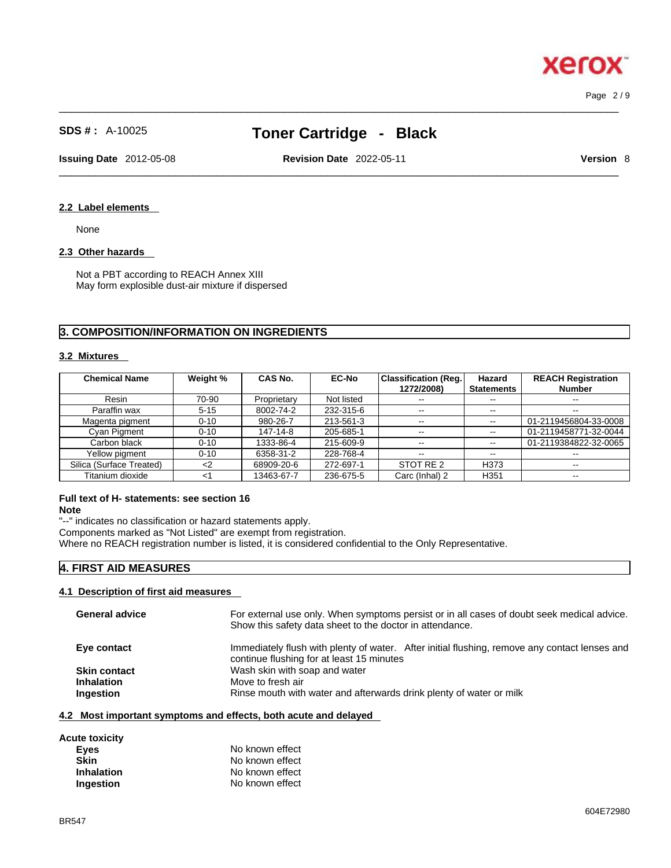Page 2 / 9

**Xerox** 

## **SDS # :** A-10025 **Toner Cartridge - Black**

 $\_$  ,  $\_$  ,  $\_$  ,  $\_$  ,  $\_$  ,  $\_$  ,  $\_$  ,  $\_$  ,  $\_$  ,  $\_$  ,  $\_$  ,  $\_$  ,  $\_$  ,  $\_$  ,  $\_$  ,  $\_$  ,  $\_$  ,  $\_$  ,  $\_$  ,  $\_$  ,  $\_$  ,  $\_$  ,  $\_$  ,  $\_$  ,  $\_$  ,  $\_$  ,  $\_$  ,  $\_$  ,  $\_$  ,  $\_$  ,  $\_$  ,  $\_$  ,  $\_$  ,  $\_$  ,  $\_$  ,  $\_$  ,  $\_$  ,

**Issuing Date** 2012-05-08 **Revision Date** 2022-05-11 **Version** 8

## $\_$  ,  $\_$  ,  $\_$  ,  $\_$  ,  $\_$  ,  $\_$  ,  $\_$  ,  $\_$  ,  $\_$  ,  $\_$  ,  $\_$  ,  $\_$  ,  $\_$  ,  $\_$  ,  $\_$  ,  $\_$  ,  $\_$  ,  $\_$  ,  $\_$  ,  $\_$  ,  $\_$  ,  $\_$  ,  $\_$  ,  $\_$  ,  $\_$  ,  $\_$  ,  $\_$  ,  $\_$  ,  $\_$  ,  $\_$  ,  $\_$  ,  $\_$  ,  $\_$  ,  $\_$  ,  $\_$  ,  $\_$  ,  $\_$  ,

#### **2.2 Label elements**

None

#### **2.3 Other hazards**

Not a PBT according to REACH Annex XIII May form explosible dust-air mixture if dispersed

#### **3. COMPOSITION/INFORMATION ON INGREDIENTS**

#### **3.2 Mixtures**

| <b>Chemical Name</b>     | Weight % | <b>CAS No.</b> | <b>EC-No</b> | <b>Classification (Reg.</b><br>1272/2008) | Hazard<br><b>Statements</b> | <b>REACH Registration</b><br><b>Number</b> |
|--------------------------|----------|----------------|--------------|-------------------------------------------|-----------------------------|--------------------------------------------|
| Resin                    | 70-90    | Proprietary    | Not listed   | $- -$                                     | $\sim$ $\sim$               | $\overline{\phantom{m}}$                   |
| Paraffin wax             | $5 - 15$ | 8002-74-2      | 232-315-6    | $- -$                                     | $\overline{\phantom{m}}$    | $\overline{\phantom{m}}$                   |
| Magenta pigment          | $0 - 10$ | 980-26-7       | 213-561-3    | $\overline{\phantom{m}}$                  | $\overline{\phantom{m}}$    | 01-2119456804-33-0008                      |
| Cyan Pigment             | $0 - 10$ | 147-14-8       | 205-685-1    | $\overline{\phantom{m}}$                  | $\sim$ $\sim$               | 01-2119458771-32-0044                      |
| Carbon black             | $0 - 10$ | 1333-86-4      | 215-609-9    | $\sim$ $\sim$                             | $\sim$ $\sim$               | 01-2119384822-32-0065                      |
| Yellow pigment           | $0 - 10$ | 6358-31-2      | 228-768-4    | $\sim$ $\sim$                             | $- -$                       | $- -$                                      |
| Silica (Surface Treated) | $<$ 2    | 68909-20-6     | 272-697-1    | STOT RE 2                                 | H <sub>3</sub> 73           | $- -$                                      |
| Titanium dioxide         | <1       | 13463-67-7     | 236-675-5    | Carc (Inhal) 2                            | H <sub>351</sub>            | $\overline{\phantom{m}}$                   |

#### **Full text of H- statements: see section 16 Note**

"--" indicates no classification or hazard statements apply.

Components marked as "Not Listed" are exempt from registration.

Where no REACH registration number is listed, it is considered confidential to the Only Representative.

#### **4. FIRST AID MEASURES**

#### **4.1 Description of first aid measures**

| <b>General advice</b> | For external use only. When symptoms persist or in all cases of doubt seek medical advice.<br>Show this safety data sheet to the doctor in attendance. |
|-----------------------|--------------------------------------------------------------------------------------------------------------------------------------------------------|
| Eye contact           | Immediately flush with plenty of water. After initial flushing, remove any contact lenses and<br>continue flushing for at least 15 minutes             |
| <b>Skin contact</b>   | Wash skin with soap and water                                                                                                                          |
| <b>Inhalation</b>     | Move to fresh air                                                                                                                                      |
| Ingestion             | Rinse mouth with water and afterwards drink plenty of water or milk                                                                                    |
|                       |                                                                                                                                                        |

#### **4.2 Most important symptoms and effects, both acute and delayed**

**Acute toxicity**

| Eyes              | No known effect |
|-------------------|-----------------|
| Skin              | No known effect |
| <b>Inhalation</b> | No known effect |
| <b>Ingestion</b>  | No known effect |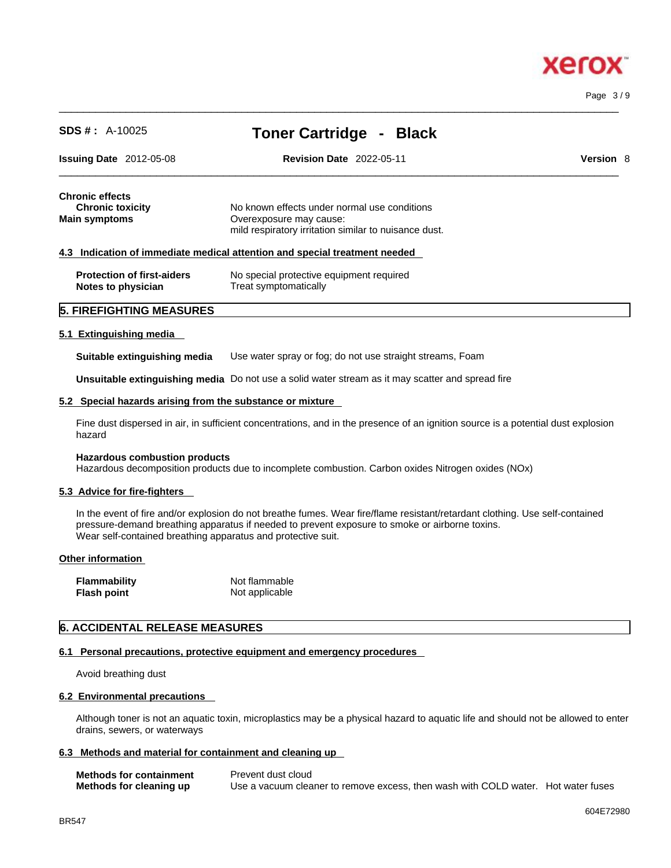# **xero**

Page 3 / 9

| <b>SDS #:</b> $A-10025$                                                                                  | <b>Toner Cartridge -</b><br><b>Black</b>                                                                |  |  |  |  |  |
|----------------------------------------------------------------------------------------------------------|---------------------------------------------------------------------------------------------------------|--|--|--|--|--|
| <b>Issuing Date</b> $2012-05-08$                                                                         | <b>Revision Date 2022-05-11</b><br><b>Version 8</b>                                                     |  |  |  |  |  |
| <b>Chronic effects</b><br><b>Chronic toxicity</b>                                                        | No known effects under normal use conditions                                                            |  |  |  |  |  |
| <b>Main symptoms</b><br>Overexposure may cause:<br>mild respiratory irritation similar to nuisance dust. |                                                                                                         |  |  |  |  |  |
|                                                                                                          | 4.3 Indication of immediate medical attention and special treatment needed                              |  |  |  |  |  |
| <b>Protection of first-aiders</b><br>Notes to physician                                                  | No special protective equipment required<br>Treat symptomatically                                       |  |  |  |  |  |
| 5. FIREFIGHTING MEASURES                                                                                 |                                                                                                         |  |  |  |  |  |
| 5.1 Extinguishing media                                                                                  |                                                                                                         |  |  |  |  |  |
| Suitable extinguishing media                                                                             | Use water spray or fog; do not use straight streams, Foam                                               |  |  |  |  |  |
|                                                                                                          | <b>Unsuitable extinguishing media</b> Do not use a solid water stream as it may scatter and spread fire |  |  |  |  |  |

 $\_$  ,  $\_$  ,  $\_$  ,  $\_$  ,  $\_$  ,  $\_$  ,  $\_$  ,  $\_$  ,  $\_$  ,  $\_$  ,  $\_$  ,  $\_$  ,  $\_$  ,  $\_$  ,  $\_$  ,  $\_$  ,  $\_$  ,  $\_$  ,  $\_$  ,  $\_$  ,  $\_$  ,  $\_$  ,  $\_$  ,  $\_$  ,  $\_$  ,  $\_$  ,  $\_$  ,  $\_$  ,  $\_$  ,  $\_$  ,  $\_$  ,  $\_$  ,  $\_$  ,  $\_$  ,  $\_$  ,  $\_$  ,  $\_$  ,

**5.2 Special hazards arising from the substance or mixture**

Fine dust dispersed in air, in sufficient concentrations, and in the presence of an ignition source is a potential dust explosion hazard

#### **Hazardous combustion products**

Hazardous decomposition products due to incomplete combustion. Carbon oxides Nitrogen oxides (NOx)

#### **5.3 Advice for fire-fighters**

In the event of fire and/or explosion do not breathe fumes. Wear fire/flame resistant/retardant clothing. Use self-contained pressure-demand breathing apparatus if needed to prevent exposure to smoke or airborne toxins. Wear self-contained breathing apparatus and protective suit.

#### **Other information**

| <b>Flammability</b> | Not flammable  |
|---------------------|----------------|
| <b>Flash point</b>  | Not applicable |

#### **6. ACCIDENTAL RELEASE MEASURES**

#### **6.1 Personal precautions, protective equipment and emergency procedures**

Avoid breathing dust

#### **6.2 Environmental precautions**

Although toner is not an aquatic toxin, microplastics may be a physical hazard to aquatic life and should not be allowed to enter drains, sewers, or waterways

#### **6.3 Methods and material for containment and cleaning up**

| <b>Methods for containment</b> | Prevent dust cloud                                                                |  |
|--------------------------------|-----------------------------------------------------------------------------------|--|
| Methods for cleaning up        | Use a vacuum cleaner to remove excess, then wash with COLD water. Hot water fuses |  |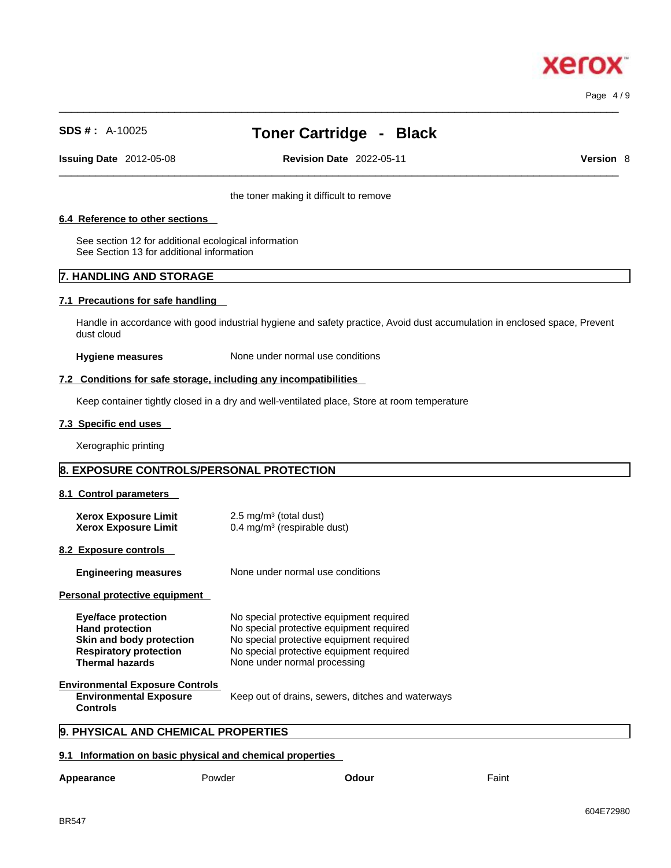# xero

Page 4 / 9

## **SDS # :** A-10025 **Toner Cartridge - Black**

 $\_$  ,  $\_$  ,  $\_$  ,  $\_$  ,  $\_$  ,  $\_$  ,  $\_$  ,  $\_$  ,  $\_$  ,  $\_$  ,  $\_$  ,  $\_$  ,  $\_$  ,  $\_$  ,  $\_$  ,  $\_$  ,  $\_$  ,  $\_$  ,  $\_$  ,  $\_$  ,  $\_$  ,  $\_$  ,  $\_$  ,  $\_$  ,  $\_$  ,  $\_$  ,  $\_$  ,  $\_$  ,  $\_$  ,  $\_$  ,  $\_$  ,  $\_$  ,  $\_$  ,  $\_$  ,  $\_$  ,  $\_$  ,  $\_$  ,

**Issuing Date** 2012-05-08 **Revision Date** 2022-05-11 **Version** 8

 $\_$  ,  $\_$  ,  $\_$  ,  $\_$  ,  $\_$  ,  $\_$  ,  $\_$  ,  $\_$  ,  $\_$  ,  $\_$  ,  $\_$  ,  $\_$  ,  $\_$  ,  $\_$  ,  $\_$  ,  $\_$  ,  $\_$  ,  $\_$  ,  $\_$  ,  $\_$  ,  $\_$  ,  $\_$  ,  $\_$  ,  $\_$  ,  $\_$  ,  $\_$  ,  $\_$  ,  $\_$  ,  $\_$  ,  $\_$  ,  $\_$  ,  $\_$  ,  $\_$  ,  $\_$  ,  $\_$  ,  $\_$  ,  $\_$  ,

the toner making it difficult to remove

#### **6.4 Reference to other sections**

See section 12 for additional ecological information See Section 13 for additional information

#### **7. HANDLING AND STORAGE**

#### **7.1 Precautions for safe handling**

Handle in accordance with good industrial hygiene and safety practice, Avoid dust accumulation in enclosed space, Prevent dust cloud

**Hygiene measures** None under normal use conditions

#### **7.2 Conditions for safe storage, including any incompatibilities**

Keep container tightly closed in a dry and well-ventilated place, Store at room temperature

#### **7.3 Specific end uses**

Xerographic printing

#### **8. EXPOSURE CONTROLS/PERSONAL PROTECTION**

#### **8.1 Control parameters**

| <b>Xerox Exposure Limit</b><br><b>Xerox Exposure Limit</b>                                                                           | $2.5 \text{ mg/m}^3$ (total dust)<br>$0.4 \text{ mg/m}^3$ (respirable dust)                                                                                                                                  |  |  |
|--------------------------------------------------------------------------------------------------------------------------------------|--------------------------------------------------------------------------------------------------------------------------------------------------------------------------------------------------------------|--|--|
| 8.2 Exposure controls                                                                                                                |                                                                                                                                                                                                              |  |  |
| <b>Engineering measures</b>                                                                                                          | None under normal use conditions                                                                                                                                                                             |  |  |
| Personal protective equipment                                                                                                        |                                                                                                                                                                                                              |  |  |
| Eye/face protection<br><b>Hand protection</b><br>Skin and body protection<br><b>Respiratory protection</b><br><b>Thermal hazards</b> | No special protective equipment required<br>No special protective equipment required<br>No special protective equipment required<br>No special protective equipment required<br>None under normal processing |  |  |
| <b>Environmental Exposure Controls</b><br><b>Environmental Exposure</b><br><b>Controls</b>                                           | Keep out of drains, sewers, ditches and waterways                                                                                                                                                            |  |  |
| 9. PHYSICAL AND CHEMICAL PROPERTIES                                                                                                  |                                                                                                                                                                                                              |  |  |

#### **9.1 Information on basic physical and chemical properties**

| Appearance | Powder | Odour | Faint |
|------------|--------|-------|-------|
|            |        |       |       |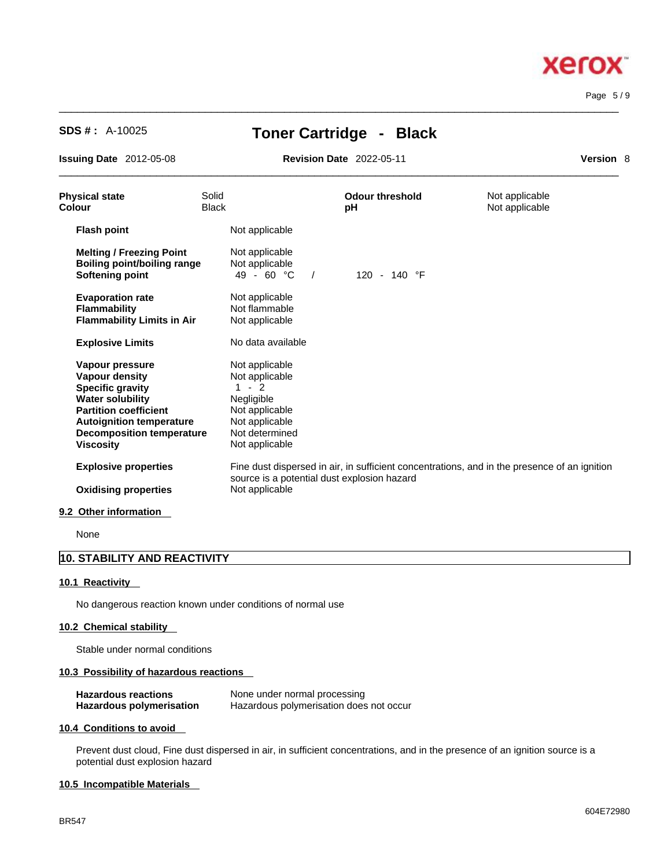

Page 5 / 9

## **SDS # :** A-10025 **Toner Cartridge - Black**

 $\_$  ,  $\_$  ,  $\_$  ,  $\_$  ,  $\_$  ,  $\_$  ,  $\_$  ,  $\_$  ,  $\_$  ,  $\_$  ,  $\_$  ,  $\_$  ,  $\_$  ,  $\_$  ,  $\_$  ,  $\_$  ,  $\_$  ,  $\_$  ,  $\_$  ,  $\_$  ,  $\_$  ,  $\_$  ,  $\_$  ,  $\_$  ,  $\_$  ,  $\_$  ,  $\_$  ,  $\_$  ,  $\_$  ,  $\_$  ,  $\_$  ,  $\_$  ,  $\_$  ,  $\_$  ,  $\_$  ,  $\_$  ,  $\_$  ,

**Issuing Date** 2012-05-08 **Revision Date** 2022-05-11 **Version** 8

 $\_$  ,  $\_$  ,  $\_$  ,  $\_$  ,  $\_$  ,  $\_$  ,  $\_$  ,  $\_$  ,  $\_$  ,  $\_$  ,  $\_$  ,  $\_$  ,  $\_$  ,  $\_$  ,  $\_$  ,  $\_$  ,  $\_$  ,  $\_$  ,  $\_$  ,  $\_$  ,  $\_$  ,  $\_$  ,  $\_$  ,  $\_$  ,  $\_$  ,  $\_$  ,  $\_$  ,  $\_$  ,  $\_$  ,  $\_$  ,  $\_$  ,  $\_$  ,  $\_$  ,  $\_$  ,  $\_$  ,  $\_$  ,  $\_$  ,

| <b>Physical state</b><br>Colour                                                                                                                                                                                    | Solid<br><b>Black</b> |                                                                                                                                   | <b>Odour threshold</b><br>pH                                                                 | Not applicable<br>Not applicable |
|--------------------------------------------------------------------------------------------------------------------------------------------------------------------------------------------------------------------|-----------------------|-----------------------------------------------------------------------------------------------------------------------------------|----------------------------------------------------------------------------------------------|----------------------------------|
| <b>Flash point</b>                                                                                                                                                                                                 |                       | Not applicable                                                                                                                    |                                                                                              |                                  |
| <b>Melting / Freezing Point</b><br><b>Boiling point/boiling range</b><br>Softening point                                                                                                                           |                       | Not applicable<br>Not applicable<br>49 - 60 $^{\circ}$ C<br>$\sqrt{ }$                                                            | 120 - 140 °F                                                                                 |                                  |
| <b>Evaporation rate</b><br><b>Flammability</b><br><b>Flammability Limits in Air</b>                                                                                                                                |                       | Not applicable<br>Not flammable<br>Not applicable                                                                                 |                                                                                              |                                  |
| <b>Explosive Limits</b>                                                                                                                                                                                            |                       | No data available                                                                                                                 |                                                                                              |                                  |
| Vapour pressure<br>Vapour density<br><b>Specific gravity</b><br><b>Water solubility</b><br><b>Partition coefficient</b><br><b>Autoignition temperature</b><br><b>Decomposition temperature</b><br><b>Viscosity</b> |                       | Not applicable<br>Not applicable<br>$1 - 2$<br>Negligible<br>Not applicable<br>Not applicable<br>Not determined<br>Not applicable |                                                                                              |                                  |
| <b>Explosive properties</b><br><b>Oxidising properties</b>                                                                                                                                                         |                       | source is a potential dust explosion hazard<br>Not applicable                                                                     | Fine dust dispersed in air, in sufficient concentrations, and in the presence of an ignition |                                  |
| 9.2 Other information                                                                                                                                                                                              |                       |                                                                                                                                   |                                                                                              |                                  |
|                                                                                                                                                                                                                    |                       |                                                                                                                                   |                                                                                              |                                  |

None

### **10. STABILITY AND REACTIVITY**

#### **10.1 Reactivity**

No dangerous reaction known under conditions of normal use

#### **10.2 Chemical stability**

Stable under normal conditions

#### **10.3 Possibility of hazardous reactions**

| <b>Hazardous reactions</b> | None under normal processing            |
|----------------------------|-----------------------------------------|
| Hazardous polymerisation   | Hazardous polymerisation does not occur |

#### **10.4 Conditions to avoid**

Prevent dust cloud, Fine dust dispersed in air, in sufficient concentrations, and in the presence of an ignition source is a potential dust explosion hazard

#### **10.5 Incompatible Materials**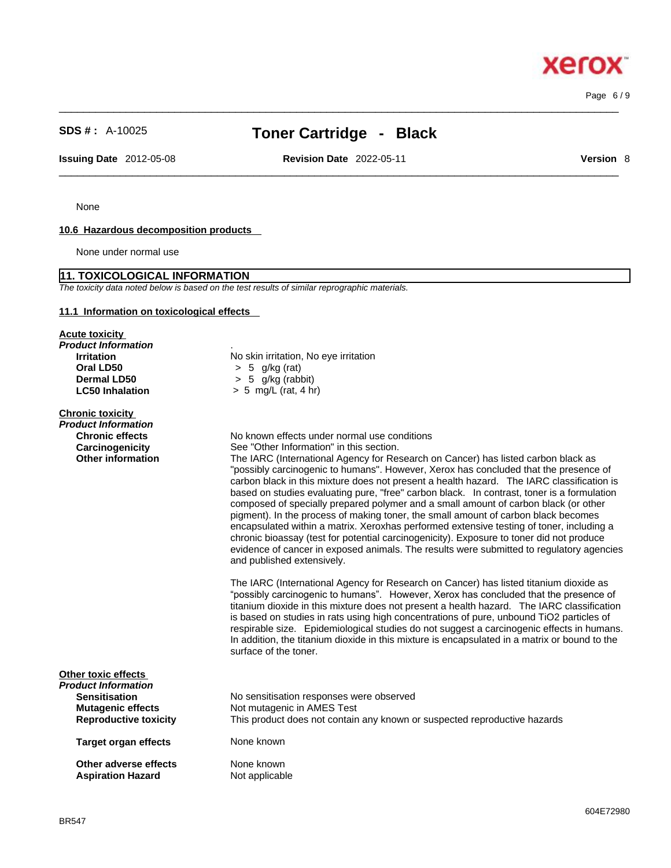## **SDS # :** A-10025 **Toner Cartridge - Black**

 $\_$  ,  $\_$  ,  $\_$  ,  $\_$  ,  $\_$  ,  $\_$  ,  $\_$  ,  $\_$  ,  $\_$  ,  $\_$  ,  $\_$  ,  $\_$  ,  $\_$  ,  $\_$  ,  $\_$  ,  $\_$  ,  $\_$  ,  $\_$  ,  $\_$  ,  $\_$  ,  $\_$  ,  $\_$  ,  $\_$  ,  $\_$  ,  $\_$  ,  $\_$  ,  $\_$  ,  $\_$  ,  $\_$  ,  $\_$  ,  $\_$  ,  $\_$  ,  $\_$  ,  $\_$  ,  $\_$  ,  $\_$  ,  $\_$  ,

**Issuing Date** 2012-05-08 **Revision Date** 2022-05-11 **Version** 8

 $\_$  ,  $\_$  ,  $\_$  ,  $\_$  ,  $\_$  ,  $\_$  ,  $\_$  ,  $\_$  ,  $\_$  ,  $\_$  ,  $\_$  ,  $\_$  ,  $\_$  ,  $\_$  ,  $\_$  ,  $\_$  ,  $\_$  ,  $\_$  ,  $\_$  ,  $\_$  ,  $\_$  ,  $\_$  ,  $\_$  ,  $\_$  ,  $\_$  ,  $\_$  ,  $\_$  ,  $\_$  ,  $\_$  ,  $\_$  ,  $\_$  ,  $\_$  ,  $\_$  ,  $\_$  ,  $\_$  ,  $\_$  ,  $\_$  ,

Page 6 / 9

None

#### **10.6 Hazardous decomposition products**

None under normal use

#### **11. TOXICOLOGICAL INFORMATION**

*The toxicity data noted below is based on the test results of similar reprographic materials.* 

**LC50 Inhalation** > 5 mg/L (rat, 4 hr)

#### **11.1 Information on toxicological effects**

**Acute toxicity** *Product Information* . **Irritation**<br> **Oral LD50**<br>  $> 5$  q/kg (rat)<br>  $> 5$  q/kg (rat) **Oral LD50** > 5 g/kg (rat) **Dermal LD50**  $\rightarrow$  5 g/kg (rabbit)<br>**LC50 Inhalation**  $\rightarrow$  5 mg/L (rat. 4 h)

**Chronic toxicity** *Product Information* 

**Chronic effects**<br>
Carcinogenicity<br>
See "Other Information" in this section. **Carcinogenicity** See "Other Information" in this section.<br> **Other information** The IARC (International Agency for Res

The IARC (International Agency for Research on Cancer) has listed carbon black as "possibly carcinogenic to humans". However, Xerox has concluded that the presence of carbon black in this mixture does not present a health hazard. The IARC classification is based on studies evaluating pure, "free" carbon black. In contrast, toner is a formulation composed of specially prepared polymer and a small amount of carbon black (or other pigment). In the process of making toner, the small amount of carbon black becomes encapsulated within a matrix. Xeroxhas performed extensive testing of toner, including a chronic bioassay (test for potential carcinogenicity). Exposure to toner did not produce evidence of cancer in exposed animals. The results were submitted to regulatory agencies and published extensively.

The IARC (International Agency for Research on Cancer) has listed titanium dioxide as "possibly carcinogenic to humans". However, Xerox has concluded that the presence of titanium dioxide in this mixture does not present a health hazard. The IARC classification is based on studies in rats using high concentrations of pure, unbound TiO2 particles of respirable size. Epidemiological studies do not suggest a carcinogenic effects in humans. In addition, the titanium dioxide in this mixture is encapsulated in a matrix or bound to the surface of the toner.

| Other toxic effects          |                                                                           |  |  |
|------------------------------|---------------------------------------------------------------------------|--|--|
| Product Information          |                                                                           |  |  |
| <b>Sensitisation</b>         | No sensitisation responses were observed                                  |  |  |
| <b>Mutagenic effects</b>     | Not mutagenic in AMES Test                                                |  |  |
| <b>Reproductive toxicity</b> | This product does not contain any known or suspected reproductive hazards |  |  |
| Target organ effects         | None known                                                                |  |  |
| Other adverse effects        | None known                                                                |  |  |
| <b>Aspiration Hazard</b>     | Not applicable                                                            |  |  |

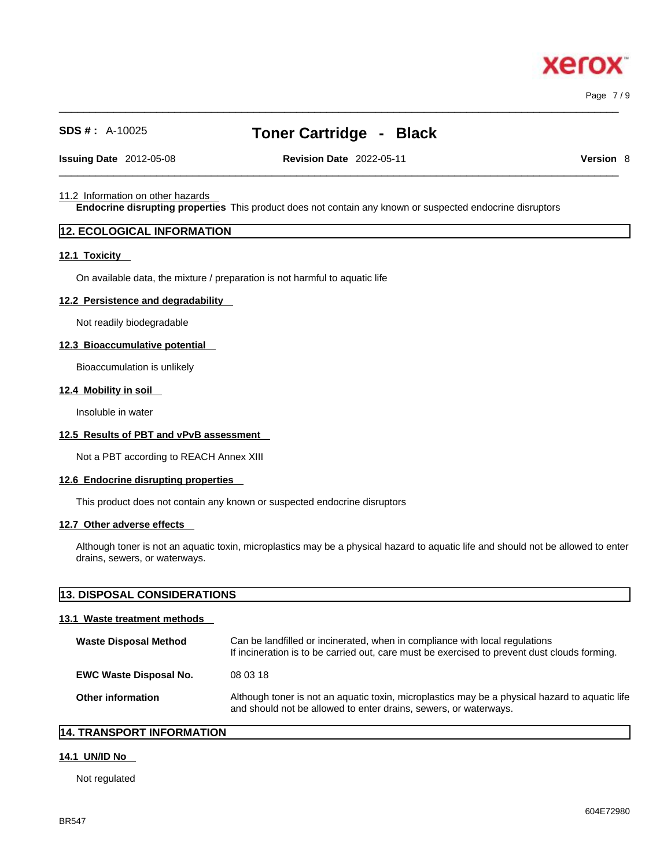Page 7 / 9

## **SDS # :** A-10025 **Toner Cartridge - Black**

 $\_$  ,  $\_$  ,  $\_$  ,  $\_$  ,  $\_$  ,  $\_$  ,  $\_$  ,  $\_$  ,  $\_$  ,  $\_$  ,  $\_$  ,  $\_$  ,  $\_$  ,  $\_$  ,  $\_$  ,  $\_$  ,  $\_$  ,  $\_$  ,  $\_$  ,  $\_$  ,  $\_$  ,  $\_$  ,  $\_$  ,  $\_$  ,  $\_$  ,  $\_$  ,  $\_$  ,  $\_$  ,  $\_$  ,  $\_$  ,  $\_$  ,  $\_$  ,  $\_$  ,  $\_$  ,  $\_$  ,  $\_$  ,  $\_$  ,

**Issuing Date** 2012-05-08 **Revision Date** 2022-05-11 **Version** 8

 $\_$  ,  $\_$  ,  $\_$  ,  $\_$  ,  $\_$  ,  $\_$  ,  $\_$  ,  $\_$  ,  $\_$  ,  $\_$  ,  $\_$  ,  $\_$  ,  $\_$  ,  $\_$  ,  $\_$  ,  $\_$  ,  $\_$  ,  $\_$  ,  $\_$  ,  $\_$  ,  $\_$  ,  $\_$  ,  $\_$  ,  $\_$  ,  $\_$  ,  $\_$  ,  $\_$  ,  $\_$  ,  $\_$  ,  $\_$  ,  $\_$  ,  $\_$  ,  $\_$  ,  $\_$  ,  $\_$  ,  $\_$  ,  $\_$  ,

#### 11.2 Information on other hazards

**Endocrine disrupting properties** This product does not contain any known or suspected endocrine disruptors

#### **12. ECOLOGICAL INFORMATION**

#### **12.1 Toxicity**

On available data, the mixture / preparation is not harmful to aquatic life

#### **12.2 Persistence and degradability**

Not readily biodegradable

#### **12.3 Bioaccumulative potential**

Bioaccumulation is unlikely

#### **12.4 Mobility in soil**

Insoluble in water

#### **12.5 Results of PBT and vPvB assessment**

Not a PBT according to REACH Annex XIII

#### **12.6 Endocrine disrupting properties**

This product does not contain any known or suspected endocrine disruptors

#### **12.7 Other adverse effects**

Although toner is not an aquatic toxin, microplastics may be a physical hazard to aquatic life and should not be allowed to enter drains, sewers, or waterways.

#### **13. DISPOSAL CONSIDERATIONS**

#### **13.1 Waste treatment methods**

| <b>Waste Disposal Method</b>  | Can be landfilled or incinerated, when in compliance with local regulations<br>If incineration is to be carried out, care must be exercised to prevent dust clouds forming. |
|-------------------------------|-----------------------------------------------------------------------------------------------------------------------------------------------------------------------------|
| <b>EWC Waste Disposal No.</b> | 08 03 18                                                                                                                                                                    |
| Other information             | Although toner is not an aquatic toxin, microplastics may be a physical hazard to aquatic life<br>and should not be allowed to enter drains, sewers, or waterways.          |

#### **14. TRANSPORT INFORMATION**

#### **14.1 UN/ID No**

Not regulated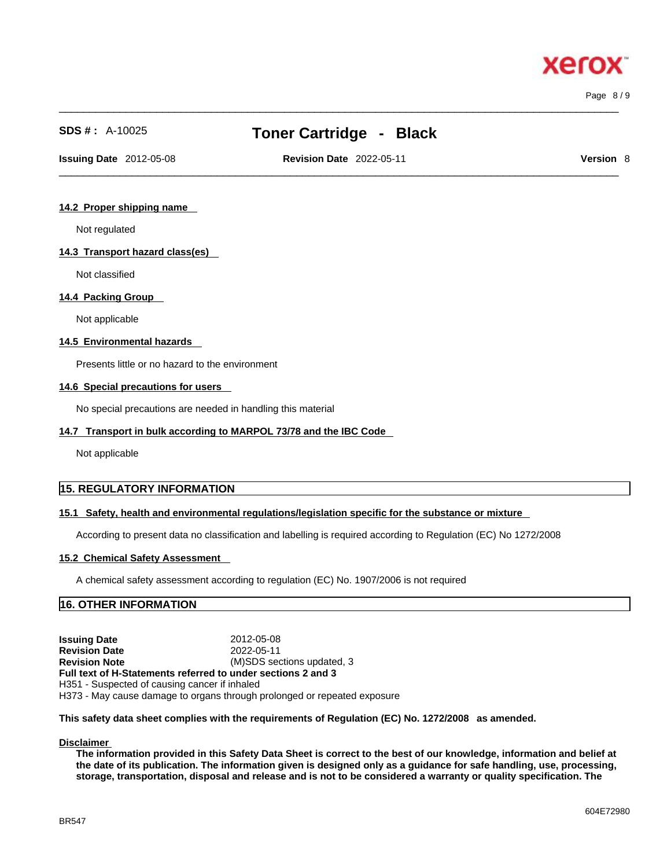$\_$  ,  $\_$  ,  $\_$  ,  $\_$  ,  $\_$  ,  $\_$  ,  $\_$  ,  $\_$  ,  $\_$  ,  $\_$  ,  $\_$  ,  $\_$  ,  $\_$  ,  $\_$  ,  $\_$  ,  $\_$  ,  $\_$  ,  $\_$  ,  $\_$  ,  $\_$  ,  $\_$  ,  $\_$  ,  $\_$  ,  $\_$  ,  $\_$  ,  $\_$  ,  $\_$  ,  $\_$  ,  $\_$  ,  $\_$  ,  $\_$  ,  $\_$  ,  $\_$  ,  $\_$  ,  $\_$  ,  $\_$  ,  $\_$  , Page 8 / 9

xero

## **SDS # :** A-10025 **Toner Cartridge - Black**

 $\_$  ,  $\_$  ,  $\_$  ,  $\_$  ,  $\_$  ,  $\_$  ,  $\_$  ,  $\_$  ,  $\_$  ,  $\_$  ,  $\_$  ,  $\_$  ,  $\_$  ,  $\_$  ,  $\_$  ,  $\_$  ,  $\_$  ,  $\_$  ,  $\_$  ,  $\_$  ,  $\_$  ,  $\_$  ,  $\_$  ,  $\_$  ,  $\_$  ,  $\_$  ,  $\_$  ,  $\_$  ,  $\_$  ,  $\_$  ,  $\_$  ,  $\_$  ,  $\_$  ,  $\_$  ,  $\_$  ,  $\_$  ,  $\_$  , **Issuing Date** 2012-05-08 **Revision Date** 2022-05-11 **Version** 8

#### **14.2 Proper shipping name**

Not regulated

#### **14.3 Transport hazard class(es)**

Not classified

#### **14.4 Packing Group**

Not applicable

#### **14.5 Environmental hazards**

Presents little or no hazard to the environment

#### **14.6 Special precautions for users**

No special precautions are needed in handling this material

#### **14.7 Transport in bulk according to MARPOL 73/78 and the IBC Code**

Not applicable

#### **15. REGULATORY INFORMATION**

#### **15.1 Safety, health and environmental regulations/legislation specific for the substance or mixture**

According to present data no classification and labelling is required according to Regulation (EC) No 1272/2008

#### **15.2 Chemical Safety Assessment**

A chemical safety assessment according to regulation (EC) No. 1907/2006 isnot required

#### **16. OTHER INFORMATION**

**Issuing Date** 2012-05-08 **Revision Date** 2022-05-11 **Revision Note** (M)SDS sections updated, 3 **Full text of H-Statements referred to undersections 2 and 3** H351 - Suspected of causing cancer if inhaled H373 - May cause damage to organs through prolonged or repeated exposure

**This safety data sheet complies with the requirements of Regulation (EC) No. 1272/2008 as amended.**

#### **Disclaimer**

The information provided in this Safety Data Sheet is correct to the best of our knowledge, information and belief at the date of its publication. The information given is designed only as a guidance for safe handling, use, processing, storage, transportation, disposal and release and is not to be considered a warranty or quality specification. The